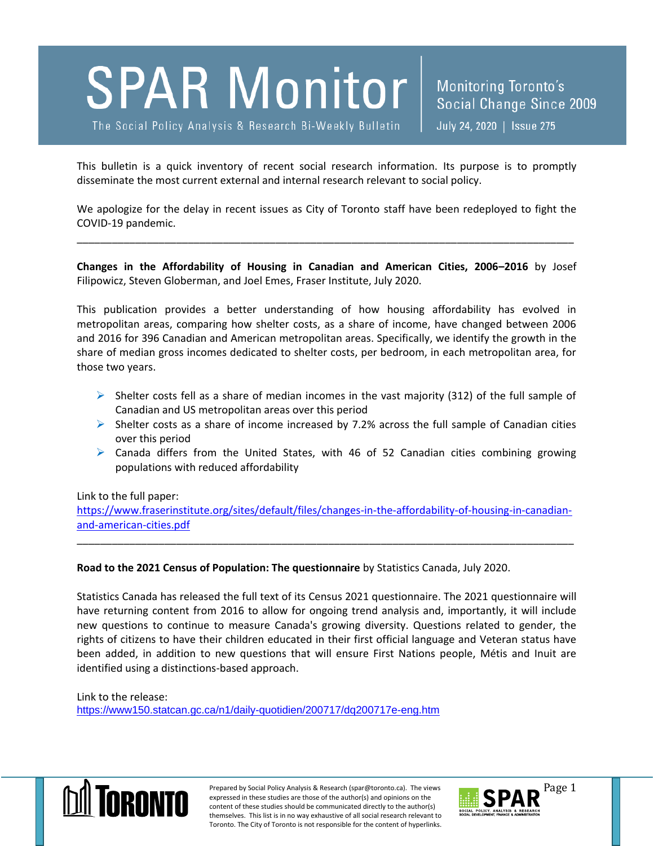# **SPAR Monitor**

The Social Policy Analysis & Research Bi-Weekly Bulletin

This bulletin is a quick inventory of recent social research information. Its purpose is to promptly disseminate the most current external and internal research relevant to social policy.

We apologize for the delay in recent issues as City of Toronto staff have been redeployed to fight the COVID-19 pandemic.

\_\_\_\_\_\_\_\_\_\_\_\_\_\_\_\_\_\_\_\_\_\_\_\_\_\_\_\_\_\_\_\_\_\_\_\_\_\_\_\_\_\_\_\_\_\_\_\_\_\_\_\_\_\_\_\_\_\_\_\_\_\_\_\_\_\_\_\_\_\_\_\_\_\_\_\_\_\_\_\_\_\_\_\_\_

**Changes in the Affordability of Housing in Canadian and American Cities, 2006–2016** by Josef Filipowicz, Steven Globerman, and Joel Emes, Fraser Institute, July 2020.

This publication provides a better understanding of how housing affordability has evolved in metropolitan areas, comparing how shelter costs, as a share of income, have changed between 2006 and 2016 for 396 Canadian and American metropolitan areas. Specifically, we identify the growth in the share of median gross incomes dedicated to shelter costs, per bedroom, in each metropolitan area, for those two years.

- $\triangleright$  Shelter costs fell as a share of median incomes in the vast majority (312) of the full sample of Canadian and US metropolitan areas over this period
- $\triangleright$  Shelter costs as a share of income increased by 7.2% across the full sample of Canadian cities over this period
- $\triangleright$  Canada differs from the United States, with 46 of 52 Canadian cities combining growing populations with reduced affordability

### Link to the full paper:

[https://www.fraserinstitute.org/sites/default/files/changes-in-the-affordability-of-housing-in-canadian](https://www.fraserinstitute.org/sites/default/files/changes-in-the-affordability-of-housing-in-canadian-and-american-cities.pdf)[and-american-cities.pdf](https://www.fraserinstitute.org/sites/default/files/changes-in-the-affordability-of-housing-in-canadian-and-american-cities.pdf)

\_\_\_\_\_\_\_\_\_\_\_\_\_\_\_\_\_\_\_\_\_\_\_\_\_\_\_\_\_\_\_\_\_\_\_\_\_\_\_\_\_\_\_\_\_\_\_\_\_\_\_\_\_\_\_\_\_\_\_\_\_\_\_\_\_\_\_\_\_\_\_\_\_\_\_\_\_\_\_\_\_\_\_\_\_

### **Road to the 2021 Census of Population: The questionnaire** by Statistics Canada, July 2020.

Statistics Canada has released the full text of its Census 2021 questionnaire. The 2021 questionnaire will have returning content from 2016 to allow for ongoing trend analysis and, importantly, it will include new questions to continue to measure Canada's growing diversity. Questions related to gender, the rights of citizens to have their children educated in their first official language and Veteran status have been added, in addition to new questions that will ensure First Nations people, Métis and Inuit are identified using a distinctions-based approach.

Link to the release: <https://www150.statcan.gc.ca/n1/daily-quotidien/200717/dq200717e-eng.htm>



Prepared by Social Policy Analysis & Research (spar@toronto.ca). The views Page 1 expressed in these studies are those of the author(s) and opinions on the content of these studies should be communicated directly to the author(s) themselves. This list is in no way exhaustive of all social research relevant to Toronto. The City of Toronto is not responsible for the content of hyperlinks.

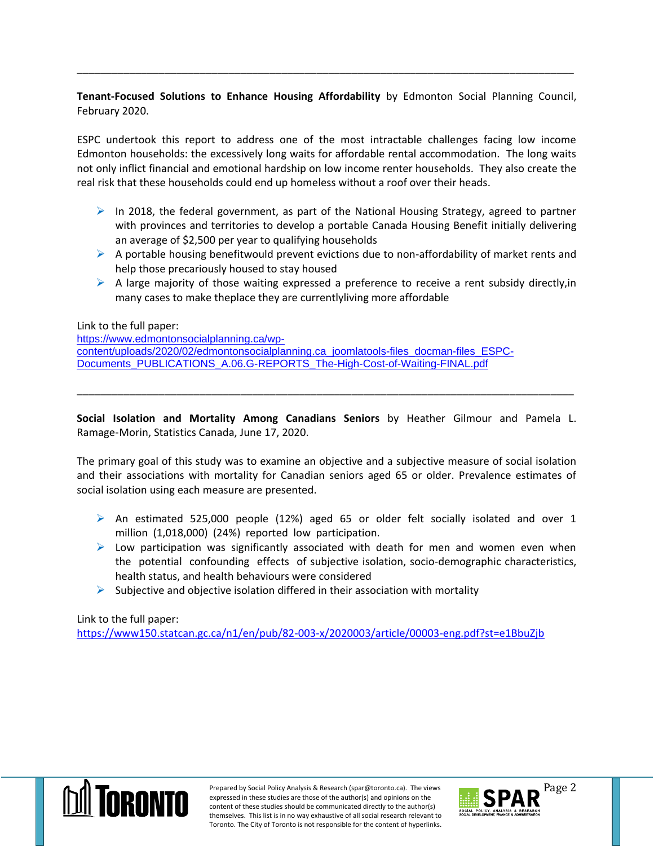## **Tenant-Focused Solutions to Enhance Housing Affordability** by Edmonton Social Planning Council, February 2020.

\_\_\_\_\_\_\_\_\_\_\_\_\_\_\_\_\_\_\_\_\_\_\_\_\_\_\_\_\_\_\_\_\_\_\_\_\_\_\_\_\_\_\_\_\_\_\_\_\_\_\_\_\_\_\_\_\_\_\_\_\_\_\_\_\_\_\_\_\_\_\_\_\_\_\_\_\_\_\_\_\_\_\_\_\_

ESPC undertook this report to address one of the most intractable challenges facing low income Edmonton households: the excessively long waits for affordable rental accommodation. The long waits not only inflict financial and emotional hardship on low income renter households. They also create the real risk that these households could end up homeless without a roof over their heads.

- $\triangleright$  In 2018, the federal government, as part of the National Housing Strategy, agreed to partner with provinces and territories to develop a portable Canada Housing Benefit initially delivering an average of \$2,500 per year to qualifying households
- $\triangleright$  A portable housing benefitwould prevent evictions due to non-affordability of market rents and help those precariously housed to stay housed
- $\triangleright$  A large majority of those waiting expressed a preference to receive a rent subsidy directly, in many cases to make theplace they are currentlyliving more affordable

Link to the full paper:

[https://www.edmontonsocialplanning.ca/wp](https://www.edmontonsocialplanning.ca/wp-content/uploads/2020/02/edmontonsocialplanning.ca_joomlatools-files_docman-files_ESPC-Documents_PUBLICATIONS_A.06.G-REPORTS_The-High-Cost-of-Waiting-FINAL.pdf)[content/uploads/2020/02/edmontonsocialplanning.ca\\_joomlatools-files\\_docman-files\\_ESPC-](https://www.edmontonsocialplanning.ca/wp-content/uploads/2020/02/edmontonsocialplanning.ca_joomlatools-files_docman-files_ESPC-Documents_PUBLICATIONS_A.06.G-REPORTS_The-High-Cost-of-Waiting-FINAL.pdf)[Documents\\_PUBLICATIONS\\_A.06.G-REPORTS\\_The-High-Cost-of-Waiting-FINAL.pdf](https://www.edmontonsocialplanning.ca/wp-content/uploads/2020/02/edmontonsocialplanning.ca_joomlatools-files_docman-files_ESPC-Documents_PUBLICATIONS_A.06.G-REPORTS_The-High-Cost-of-Waiting-FINAL.pdf)

**Social Isolation and Mortality Among Canadians Seniors** by Heather Gilmour and Pamela L. Ramage‑Morin, Statistics Canada, June 17, 2020.

\_\_\_\_\_\_\_\_\_\_\_\_\_\_\_\_\_\_\_\_\_\_\_\_\_\_\_\_\_\_\_\_\_\_\_\_\_\_\_\_\_\_\_\_\_\_\_\_\_\_\_\_\_\_\_\_\_\_\_\_\_\_\_\_\_\_\_\_\_\_\_\_\_\_\_\_\_\_\_\_\_\_\_\_\_

The primary goal of this study was to examine an objective and a subjective measure of social isolation and their associations with mortality for Canadian seniors aged 65 or older. Prevalence estimates of social isolation using each measure are presented.

- $\triangleright$  An estimated 525,000 people (12%) aged 65 or older felt socially isolated and over 1 million (1,018,000) (24%) reported low participation.
- $\triangleright$  Low participation was significantly associated with death for men and women even when the potential confounding effects of subjective isolation, socio-demographic characteristics, health status, and health behaviours were considered
- $\triangleright$  Subjective and objective isolation differed in their association with mortality

Link to the full paper:

<https://www150.statcan.gc.ca/n1/en/pub/82-003-x/2020003/article/00003-eng.pdf?st=e1BbuZjb>